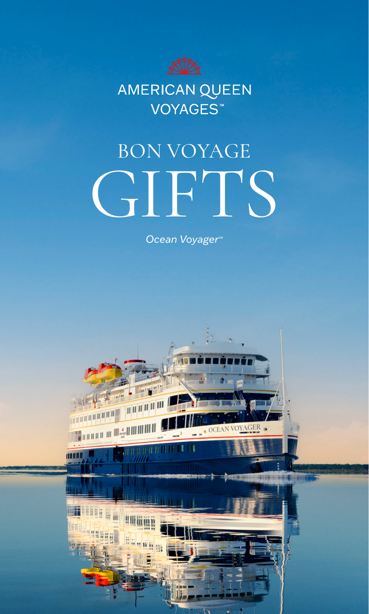

AMERICAN QUEEN VOYAGES<sup>™</sup>

# BON VOYAGE **GIFTS**

*Ocean Voyager™*

Je al

**Skitche** 

**THULLER** 

**HERRH** 

WH

William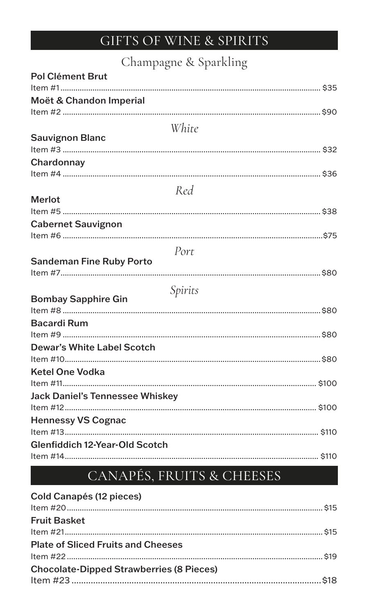## GIFTS OF WINE & SPIRITS

#### Champagne & Sparkling

| Pol Clément Brut                       |  |
|----------------------------------------|--|
| Moët & Chandon Imperial                |  |
|                                        |  |
| White                                  |  |
| <b>Sauvignon Blanc</b>                 |  |
| Chardonnay                             |  |
| Red                                    |  |
| <b>Merlot</b>                          |  |
| <b>Cabernet Sauvignon</b>              |  |
| Port                                   |  |
| <b>Sandeman Fine Ruby Porto</b>        |  |
|                                        |  |
| Spirits                                |  |
| <b>Bombay Sapphire Gin</b>             |  |
| <b>Bacardi Rum</b>                     |  |
|                                        |  |
| <b>Dewar's White Label Scotch</b>      |  |
| <b>Ketel One Vodka</b>                 |  |
| <b>Jack Daniel's Tennessee Whiskey</b> |  |
| <b>Hennessy VS Cognac</b>              |  |
| Glenfiddich 12-Year-Old Scotch         |  |
|                                        |  |

## CANAPÉS, FRUITS & CHEESES

| Cold Canapés (12 pieces)                        |  |
|-------------------------------------------------|--|
| <b>Fruit Basket</b>                             |  |
| <b>Plate of Sliced Fruits and Cheeses</b>       |  |
| <b>Chocolate-Dipped Strawberries (8 Pieces)</b> |  |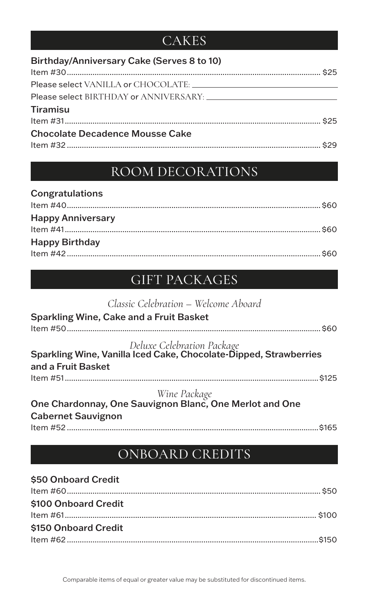#### **CAKES**

| Birthday/Anniversary Cake (Serves 8 to 10) |  |
|--------------------------------------------|--|
|                                            |  |
|                                            |  |
| Please select BIRTHDAY or ANNIVERSARY:     |  |
| <b>Tiramisu</b>                            |  |
|                                            |  |
| <b>Chocolate Decadence Mousse Cake</b>     |  |
|                                            |  |

#### ROOM DECORATIONS

| Congratulations          |  |
|--------------------------|--|
| <b>Happy Anniversary</b> |  |
| <b>Happy Birthday</b>    |  |
|                          |  |

### GIFT PACKAGES

| Classic Celebration - Welcome Aboard                                                                                  |       |
|-----------------------------------------------------------------------------------------------------------------------|-------|
| <b>Sparkling Wine, Cake and a Fruit Basket</b>                                                                        |       |
|                                                                                                                       | \$60  |
| Deluxe Celebration Package<br>Sparkling Wine, Vanilla Iced Cake, Chocolate-Dipped, Strawberries<br>and a Fruit Basket |       |
|                                                                                                                       | \$125 |
| Wine Package<br>One Chardonnay, One Sauvignon Blanc, One Merlot and One                                               |       |
|                                                                                                                       |       |
| <b>Cabernet Sauvignon</b>                                                                                             |       |
|                                                                                                                       | \$165 |

#### ONBOARD CREDITS

#### \$50 Onboard Credit Item #60....................................................................................................................... \$50 \$100 Onboard Credit Item #61...................................................................................................................... \$100 \$150 Onboard Credit Item #62 ......................................................................................................................\$150